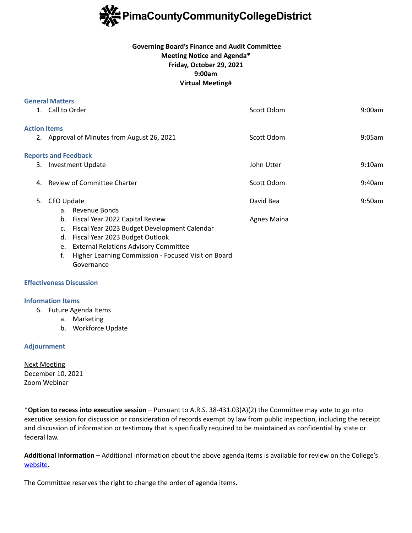

# **Governing Board's Finance and Audit Committee Meeting Notice and Agenda\* Friday, October 29, 2021 9:00am Virtual Meeting#**

|                     | <b>General Matters</b>                      |                                                     |             |        |
|---------------------|---------------------------------------------|-----------------------------------------------------|-------------|--------|
|                     | 1. Call to Order                            |                                                     | Scott Odom  | 9:00am |
| <b>Action Items</b> |                                             |                                                     |             |        |
|                     | 2. Approval of Minutes from August 26, 2021 |                                                     | Scott Odom  | 9:05am |
|                     |                                             | <b>Reports and Feedback</b>                         |             |        |
|                     | 3. Investment Update                        |                                                     | John Utter  | 9:10am |
| 4.                  | Review of Committee Charter                 |                                                     | Scott Odom  | 9:40am |
| 5.                  | CFO Update                                  |                                                     | David Bea   | 9:50am |
|                     |                                             | a. Revenue Bonds                                    |             |        |
|                     | b.                                          | Fiscal Year 2022 Capital Review                     | Agnes Maina |        |
|                     | $\mathsf{C}$ .                              | Fiscal Year 2023 Budget Development Calendar        |             |        |
|                     | d.                                          | Fiscal Year 2023 Budget Outlook                     |             |        |
|                     | e.                                          | <b>External Relations Advisory Committee</b>        |             |        |
|                     | f.                                          | Higher Learning Commission - Focused Visit on Board |             |        |
|                     |                                             | Governance                                          |             |        |

### **Effectiveness Discussion**

## **Information Items**

6. Future Agenda Items

- a. Marketing
- b. Workforce Update

### **Adjournment**

 December 10, 2021 Next Meeting Zoom Webinar

 \***Option to recess into executive session** – Pursuant to A.R.S. 38-431.03(A)(2) the Committee may vote to go into executive session for discussion or consideration of records exempt by law from public inspection, including the receipt and discussion of information or testimony that is specifically required to be maintained as confidential by state or federal law.

 **Additional Information** – Additional information about the above agenda items is available for review on the College's [website.](https://www.pima.edu/about-pima/leadership-policies/governing-board/finance-advisory-committee/agendas-minutes.html)

The Committee reserves the right to change the order of agenda items.